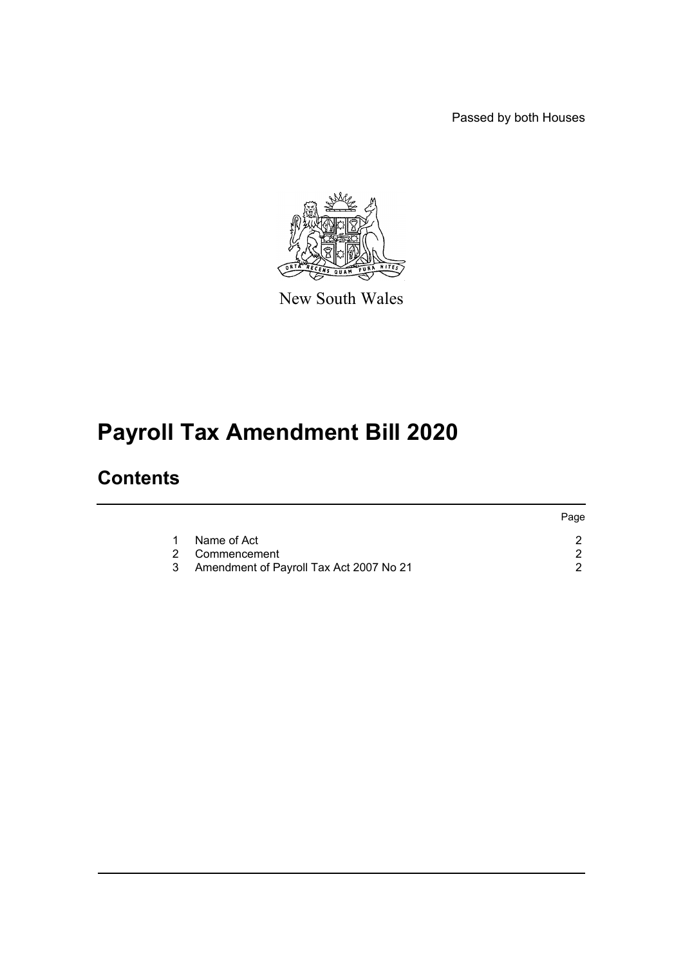Passed by both Houses



New South Wales

# **Payroll Tax Amendment Bill 2020**

### **Contents**

|   |                                           | Page |
|---|-------------------------------------------|------|
| 1 | Name of Act                               |      |
|   | 2 Commencement                            |      |
|   | 3 Amendment of Payroll Tax Act 2007 No 21 |      |
|   |                                           |      |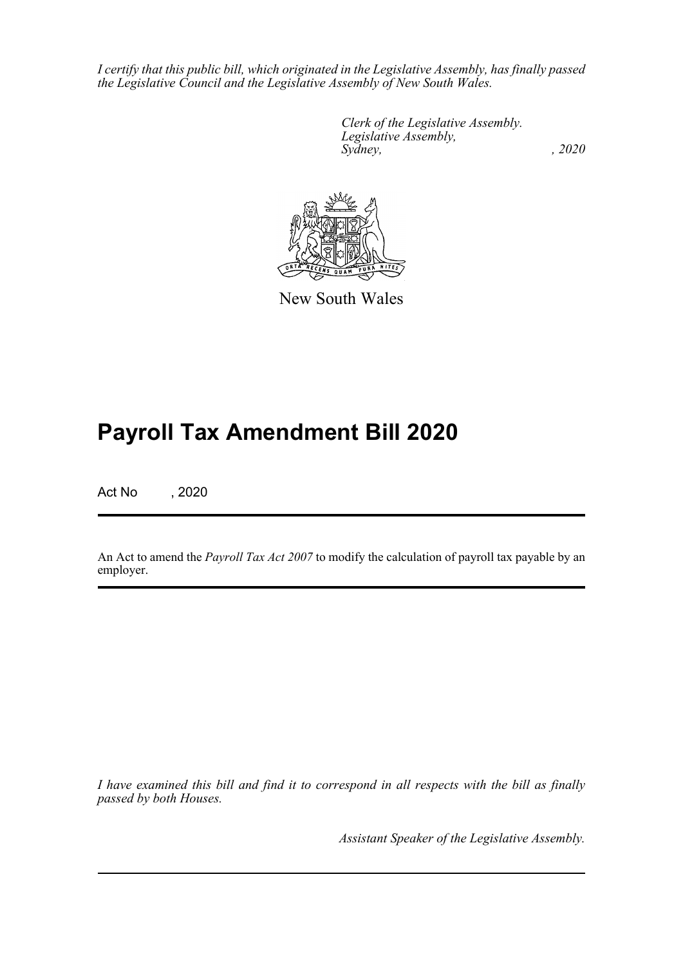*I certify that this public bill, which originated in the Legislative Assembly, has finally passed the Legislative Council and the Legislative Assembly of New South Wales.*

> *Clerk of the Legislative Assembly. Legislative Assembly, Sydney, , 2020*



New South Wales

## **Payroll Tax Amendment Bill 2020**

Act No , 2020

An Act to amend the *Payroll Tax Act 2007* to modify the calculation of payroll tax payable by an employer.

*I have examined this bill and find it to correspond in all respects with the bill as finally passed by both Houses.*

*Assistant Speaker of the Legislative Assembly.*